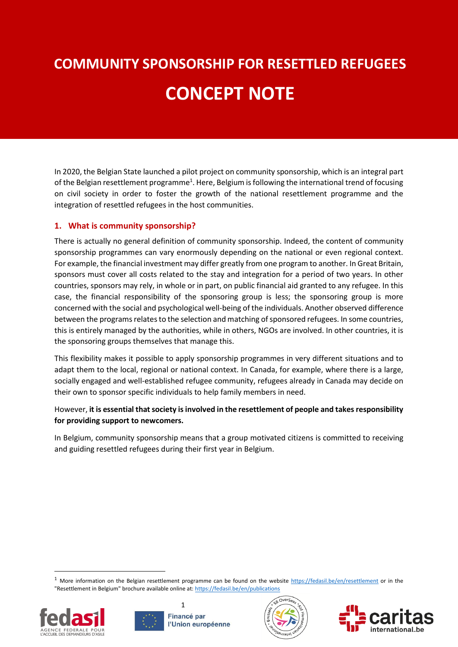# **COMMUNITY SPONSORSHIP FOR RESETTLED REFUGEES CONCEPT NOTE** ľ

In 2020, the Belgian State launched a pilot project on community sponsorship, which is an integral part of the Belgian resettlement programme<sup>1</sup>. Here, Belgium is following the international trend of focusing on civil society in order to foster the growth of the national resettlement programme and the integration of resettled refugees in the host communities.

# **1. What is community sponsorship?**

There is actually no general definition of community sponsorship. Indeed, the content of community sponsorship programmes can vary enormously depending on the national or even regional context. For example, the financial investment may differ greatly from one program to another. In Great Britain, sponsors must cover all costs related to the stay and integration for a period of two years. In other countries, sponsors may rely, in whole or in part, on public financial aid granted to any refugee. In this case, the financial responsibility of the sponsoring group is less; the sponsoring group is more concerned with the social and psychological well-being of the individuals. Another observed difference between the programs relates to the selection and matching of sponsored refugees. In some countries, this is entirely managed by the authorities, while in others, NGOs are involved. In other countries, it is the sponsoring groups themselves that manage this.

This flexibility makes it possible to apply sponsorship programmes in very different situations and to adapt them to the local, regional or national context. In Canada, for example, where there is a large, socially engaged and well-established refugee community, refugees already in Canada may decide on their own to sponsor specific individuals to help family members in need.

# However, **it is essential that society is involved in the resettlement of people and takes responsibility for providing support to newcomers.**

In Belgium, community sponsorship means that a group motivated citizens is committed to receiving and guiding resettled refugees during their first year in Belgium.

 $1$  More information on the Belgian resettlement programme can be found on the website  $\frac{https://fedasi.be/en/resettlement}{https://fedasi.be/en/resettlement}$  or in the "Resettlement in Belgium" brochure available online at[: https://fedasil.be/en/publications](https://fedasil.be/en/publications)



**.** 



1



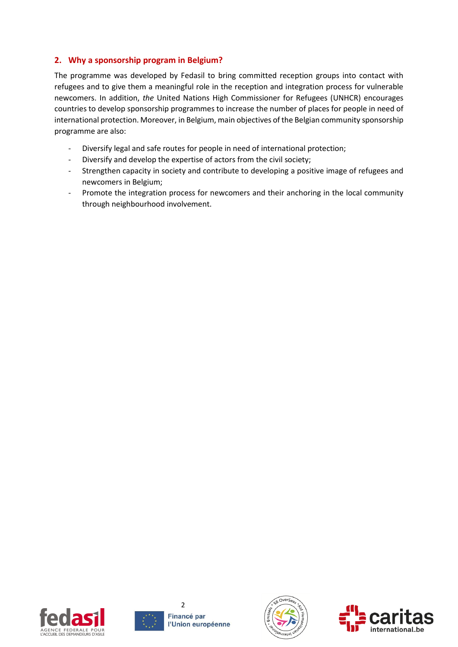# **2. Why a sponsorship program in Belgium?**

The programme was developed by Fedasil to bring committed reception groups into contact with refugees and to give them a meaningful role in the reception and integration process for vulnerable newcomers. In addition, *the* United Nations High Commissioner for Refugees (UNHCR) encourages countries to develop sponsorship programmes to increase the number of places for people in need of international protection. Moreover, in Belgium, main objectives of the Belgian community sponsorship programme are also:

- Diversify legal and safe routes for people in need of international protection;
- Diversify and develop the expertise of actors from the civil society;
- Strengthen capacity in society and contribute to developing a positive image of refugees and newcomers in Belgium;
- Promote the integration process for newcomers and their anchoring in the local community through neighbourhood involvement.







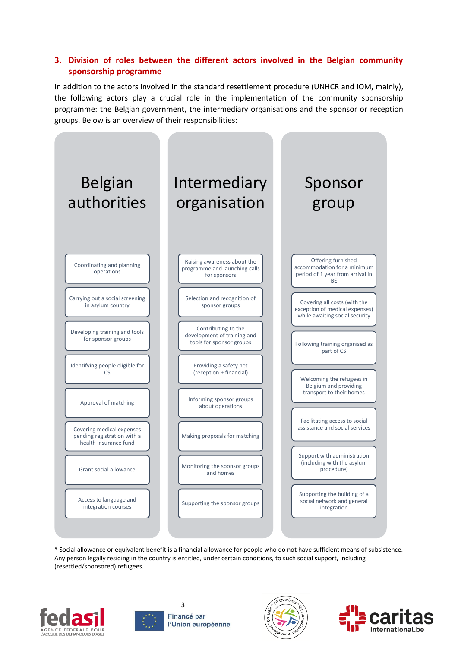## **3. Division of roles between the different actors involved in the Belgian community sponsorship programme**

In addition to the actors involved in the standard resettlement procedure (UNHCR and IOM, mainly), the following actors play a crucial role in the implementation of the community sponsorship programme: the Belgian government, the intermediary organisations and the sponsor or reception groups. Below is an overview of their responsibilities:



\* Social allowance or equivalent benefit is a financial allowance for people who do not have sufficient means of subsistence. Any person legally residing in the country is entitled, under certain conditions, to such social support, including (resettled/sponsored) refugees.





3 Financé par l'Union européenne



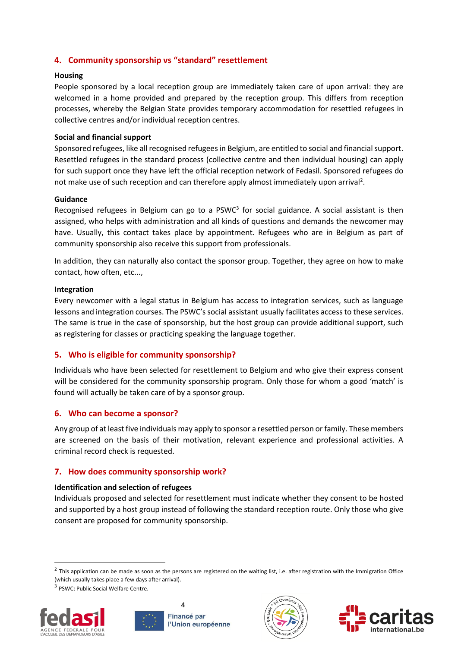## **4. Community sponsorship vs "standard" resettlement**

#### **Housing**

People sponsored by a local reception group are immediately taken care of upon arrival: they are welcomed in a home provided and prepared by the reception group. This differs from reception processes, whereby the Belgian State provides temporary accommodation for resettled refugees in collective centres and/or individual reception centres.

#### **Social and financial support**

Sponsored refugees, like all recognised refugees in Belgium, are entitled to social and financial support. Resettled refugees in the standard process (collective centre and then individual housing) can apply for such support once they have left the official reception network of Fedasil. Sponsored refugees do not make use of such reception and can therefore apply almost immediately upon arrival<sup>2</sup>.

#### **Guidance**

Recognised refugees in Belgium can go to a  $PSWC<sup>3</sup>$  for social guidance. A social assistant is then assigned, who helps with administration and all kinds of questions and demands the newcomer may have. Usually, this contact takes place by appointment. Refugees who are in Belgium as part of community sponsorship also receive this support from professionals.

In addition, they can naturally also contact the sponsor group. Together, they agree on how to make contact, how often, etc...,

#### **Integration**

Every newcomer with a legal status in Belgium has access to integration services, such as language lessons and integration courses. The PSWC's social assistant usually facilitates access to these services. The same is true in the case of sponsorship, but the host group can provide additional support, such as registering for classes or practicing speaking the language together.

#### **5. Who is eligible for community sponsorship?**

Individuals who have been selected for resettlement to Belgium and who give their express consent will be considered for the community sponsorship program. Only those for whom a good 'match' is found will actually be taken care of by a sponsor group.

#### **6. Who can become a sponsor?**

Any group of at least five individuals may apply to sponsor a resettled person or family. These members are screened on the basis of their motivation, relevant experience and professional activities. A criminal record check is requested.

#### **7. How does community sponsorship work?**

#### **Identification and selection of refugees**

Individuals proposed and selected for resettlement must indicate whether they consent to be hosted and supported by a host group instead of following the standard reception route. Only those who give consent are proposed for community sponsorship.

 $^2$  This application can be made as soon as the persons are registered on the waiting list, i.e. after registration with the Immigration Office (which usually takes place a few days after arrival).

<sup>&</sup>lt;sup>3</sup> PSWC: Public Social Welfare Centre.



1



 $\Delta$